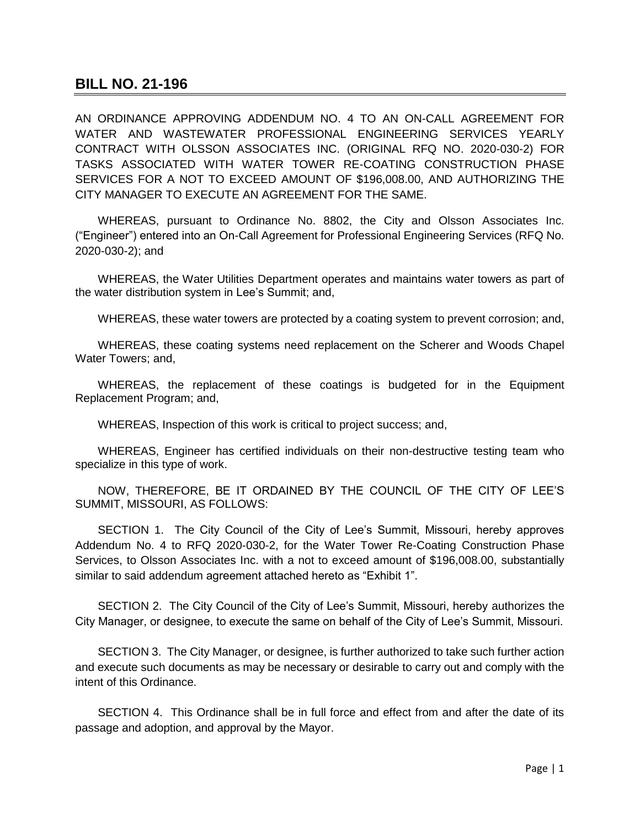## **BILL NO. 21-196**

AN ORDINANCE APPROVING ADDENDUM NO. 4 TO AN ON-CALL AGREEMENT FOR WATER AND WASTEWATER PROFESSIONAL ENGINEERING SERVICES YEARLY CONTRACT WITH OLSSON ASSOCIATES INC. (ORIGINAL RFQ NO. 2020-030-2) FOR TASKS ASSOCIATED WITH WATER TOWER RE-COATING CONSTRUCTION PHASE SERVICES FOR A NOT TO EXCEED AMOUNT OF \$196,008.00, AND AUTHORIZING THE CITY MANAGER TO EXECUTE AN AGREEMENT FOR THE SAME.

WHEREAS, pursuant to Ordinance No. 8802, the City and Olsson Associates Inc. ("Engineer") entered into an On-Call Agreement for Professional Engineering Services (RFQ No. 2020-030-2); and

WHEREAS, the Water Utilities Department operates and maintains water towers as part of the water distribution system in Lee's Summit; and,

WHEREAS, these water towers are protected by a coating system to prevent corrosion; and,

WHEREAS, these coating systems need replacement on the Scherer and Woods Chapel Water Towers; and,

WHEREAS, the replacement of these coatings is budgeted for in the Equipment Replacement Program; and,

WHEREAS, Inspection of this work is critical to project success; and,

WHEREAS, Engineer has certified individuals on their non-destructive testing team who specialize in this type of work.

NOW, THEREFORE, BE IT ORDAINED BY THE COUNCIL OF THE CITY OF LEE'S SUMMIT, MISSOURI, AS FOLLOWS:

SECTION 1. The City Council of the City of Lee's Summit, Missouri, hereby approves Addendum No. 4 to RFQ 2020-030-2, for the Water Tower Re-Coating Construction Phase Services, to Olsson Associates Inc. with a not to exceed amount of \$196,008.00, substantially similar to said addendum agreement attached hereto as "Exhibit 1".

SECTION 2. The City Council of the City of Lee's Summit, Missouri, hereby authorizes the City Manager, or designee, to execute the same on behalf of the City of Lee's Summit, Missouri.

SECTION 3. The City Manager, or designee, is further authorized to take such further action and execute such documents as may be necessary or desirable to carry out and comply with the intent of this Ordinance.

SECTION 4. This Ordinance shall be in full force and effect from and after the date of its passage and adoption, and approval by the Mayor.